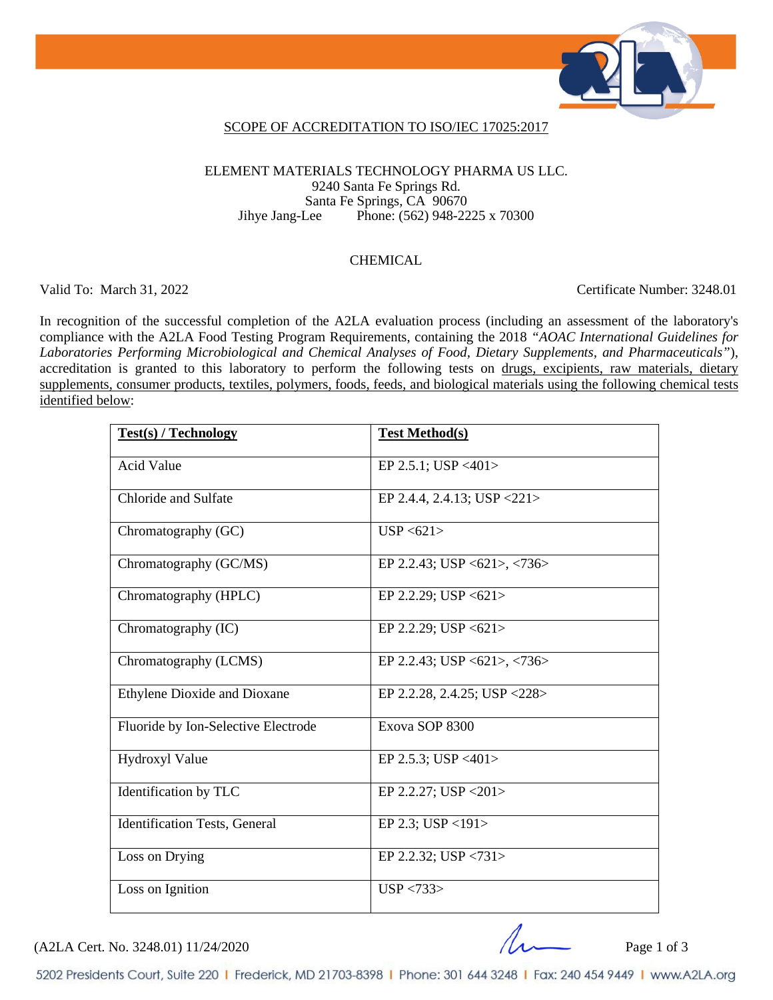

### SCOPE OF ACCREDITATION TO ISO/IEC 17025:2017

### ELEMENT MATERIALS TECHNOLOGY PHARMA US LLC. 9240 Santa Fe Springs Rd. Santa Fe Springs, CA 90670<br>Jihye Jang-Lee Phone: (562) 948-22 Phone: (562) 948-2225 x 70300

#### CHEMICAL

Valid To: March 31, 2022 Certificate Number: 3248.01

In recognition of the successful completion of the A2LA evaluation process (including an assessment of the laboratory's compliance with the A2LA Food Testing Program Requirements, containing the 2018 *"AOAC International Guidelines for Laboratories Performing Microbiological and Chemical Analyses of Food, Dietary Supplements, and Pharmaceuticals"*), accreditation is granted to this laboratory to perform the following tests on drugs, excipients, raw materials, dietary supplements, consumer products, textiles, polymers, foods, feeds, and biological materials using the following chemical tests identified below:

| <b>Test(s) / Technology</b>          | <b>Test Method(s)</b>                                        |
|--------------------------------------|--------------------------------------------------------------|
|                                      |                                                              |
| <b>Acid Value</b>                    | EP 2.5.1; USP <401>                                          |
| Chloride and Sulfate                 | EP 2.4.4, 2.4.13; USP < 221 >                                |
|                                      |                                                              |
| Chromatography (GC)                  | USP < 621                                                    |
|                                      |                                                              |
| Chromatography (GC/MS)               | EP 2.2.43; USP $\langle 621 \rangle$ , $\langle 736 \rangle$ |
| Chromatography (HPLC)                | EP 2.2.29; USP $\langle 621 \rangle$                         |
|                                      |                                                              |
| Chromatography (IC)                  | EP 2.2.29; USP $\langle 621 \rangle$                         |
|                                      |                                                              |
| Chromatography (LCMS)                | EP 2.2.43; USP <621>, <736>                                  |
|                                      |                                                              |
| <b>Ethylene Dioxide and Dioxane</b>  | EP 2.2.28, 2.4.25; USP < 228 >                               |
| Fluoride by Ion-Selective Electrode  | Exova SOP 8300                                               |
|                                      |                                                              |
| Hydroxyl Value                       | EP 2.5.3; USP <401>                                          |
|                                      |                                                              |
| Identification by TLC                | EP 2.2.27; USP <201>                                         |
| <b>Identification Tests, General</b> | EP 2.3; USP <191>                                            |
|                                      |                                                              |
| Loss on Drying                       | EP 2.2.32; USP $\langle 731 \rangle$                         |
|                                      |                                                              |
| Loss on Ignition                     | USP < 733                                                    |
|                                      |                                                              |

 $(A2LA$  Cert. No. 3248.01) 11/24/2020 Page 1 of 3

5202 Presidents Court, Suite 220 | Frederick, MD 21703-8398 | Phone: 301 644 3248 | Fax: 240 454 9449 | www.A2LA.org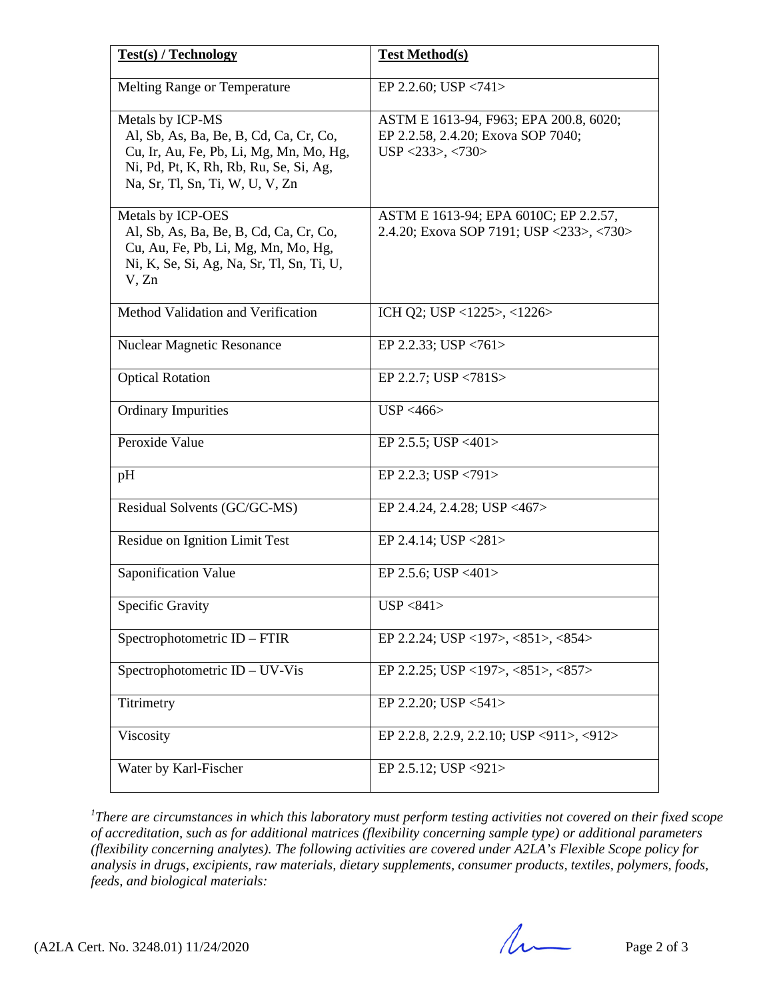| <b>Test(s) / Technology</b>                                                                                                                                                        | <b>Test Method(s)</b>                                                                                |
|------------------------------------------------------------------------------------------------------------------------------------------------------------------------------------|------------------------------------------------------------------------------------------------------|
| <b>Melting Range or Temperature</b>                                                                                                                                                | EP 2.2.60; USP $\langle 741 \rangle$                                                                 |
| Metals by ICP-MS<br>Al, Sb, As, Ba, Be, B, Cd, Ca, Cr, Co,<br>Cu, Ir, Au, Fe, Pb, Li, Mg, Mn, Mo, Hg,<br>Ni, Pd, Pt, K, Rh, Rb, Ru, Se, Si, Ag,<br>Na, Sr, Tl, Sn, Ti, W, U, V, Zn | ASTM E 1613-94, F963; EPA 200.8, 6020;<br>EP 2.2.58, 2.4.20; Exova SOP 7040;<br>$USP < 233$ >, <730> |
| Metals by ICP-OES<br>Al, Sb, As, Ba, Be, B, Cd, Ca, Cr, Co,<br>Cu, Au, Fe, Pb, Li, Mg, Mn, Mo, Hg,<br>Ni, K, Se, Si, Ag, Na, Sr, Tl, Sn, Ti, U,<br>V, Zn                           | ASTM E 1613-94; EPA 6010C; EP 2.2.57,<br>2.4.20; Exova SOP 7191; USP <233>, <730>                    |
| Method Validation and Verification                                                                                                                                                 | ICH Q2; USP <1225>, <1226>                                                                           |
| <b>Nuclear Magnetic Resonance</b>                                                                                                                                                  | EP 2.2.33; USP $\langle 761 \rangle$                                                                 |
| <b>Optical Rotation</b>                                                                                                                                                            | EP 2.2.7; USP <781S>                                                                                 |
| <b>Ordinary Impurities</b>                                                                                                                                                         | USP < 466                                                                                            |
| Peroxide Value                                                                                                                                                                     | EP 2.5.5; USP <401>                                                                                  |
| pH                                                                                                                                                                                 | EP 2.2.3; USP $\langle 791 \rangle$                                                                  |
| Residual Solvents (GC/GC-MS)                                                                                                                                                       | EP 2.4.24, 2.4.28; USP <467>                                                                         |
| Residue on Ignition Limit Test                                                                                                                                                     | EP 2.4.14; USP $\langle 281 \rangle$                                                                 |
| Saponification Value                                                                                                                                                               | EP 2.5.6; USP <401>                                                                                  |
| <b>Specific Gravity</b>                                                                                                                                                            | USP < 841                                                                                            |
| Spectrophotometric $ID - FTIR$                                                                                                                                                     | EP 2.2.24; USP <197>, <851>, <854>                                                                   |
| Spectrophotometric ID – UV-Vis                                                                                                                                                     | EP 2.2.25; USP <197>, <851>, <857>                                                                   |
| Titrimetry                                                                                                                                                                         | EP 2.2.20; USP $<541>$                                                                               |
| Viscosity                                                                                                                                                                          | EP 2.2.8, 2.2.9, 2.2.10; USP <911>, <912>                                                            |
| Water by Karl-Fischer                                                                                                                                                              | EP 2.5.12; USP <921>                                                                                 |

*1 There are circumstances in which this laboratory must perform testing activities not covered on their fixed scope of accreditation, such as for additional matrices (flexibility concerning sample type) or additional parameters (flexibility concerning analytes). The following activities are covered under A2LA's Flexible Scope policy for analysis in drugs, excipients, raw materials, dietary supplements, consumer products, textiles, polymers, foods, feeds, and biological materials:*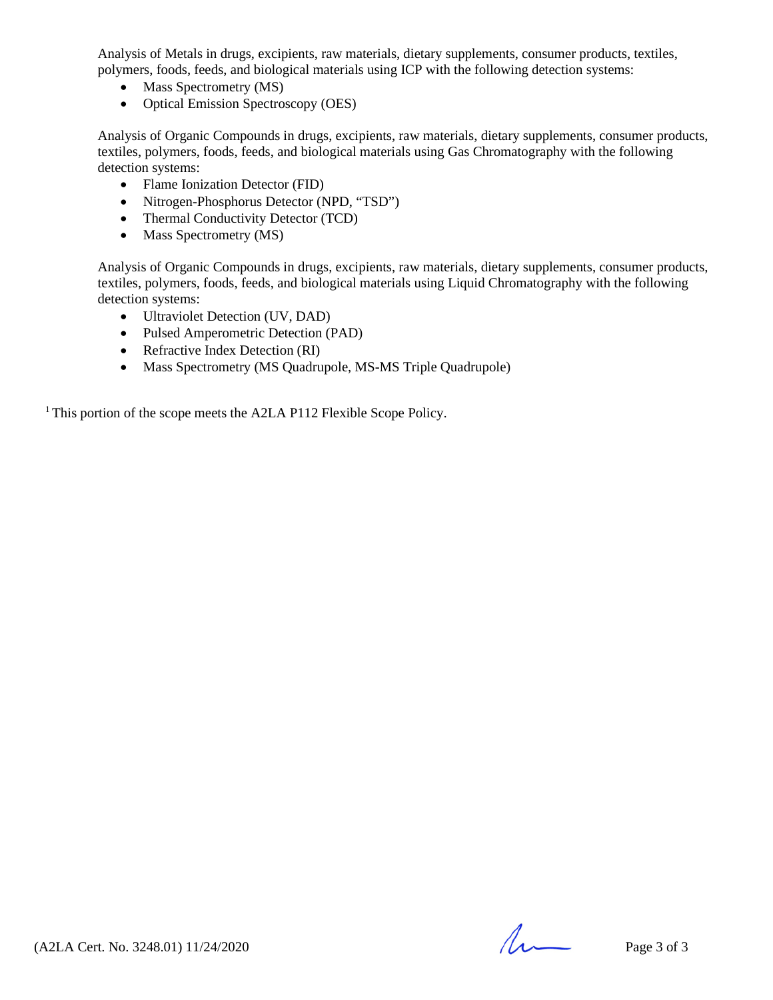Analysis of Metals in drugs, excipients, raw materials, dietary supplements, consumer products, textiles, polymers, foods, feeds, and biological materials using ICP with the following detection systems:

- Mass Spectrometry (MS)
- Optical Emission Spectroscopy (OES)

Analysis of Organic Compounds in drugs, excipients, raw materials, dietary supplements, consumer products, textiles, polymers, foods, feeds, and biological materials using Gas Chromatography with the following detection systems:

- Flame Ionization Detector (FID)
- Nitrogen-Phosphorus Detector (NPD, "TSD")
- Thermal Conductivity Detector (TCD)
- Mass Spectrometry (MS)

Analysis of Organic Compounds in drugs, excipients, raw materials, dietary supplements, consumer products, textiles, polymers, foods, feeds, and biological materials using Liquid Chromatography with the following detection systems:

- Ultraviolet Detection (UV, DAD)
- Pulsed Amperometric Detection (PAD)
- Refractive Index Detection (RI)
- Mass Spectrometry (MS Quadrupole, MS-MS Triple Quadrupole)

<sup>1</sup> This portion of the scope meets the A2LA P112 Flexible Scope Policy.